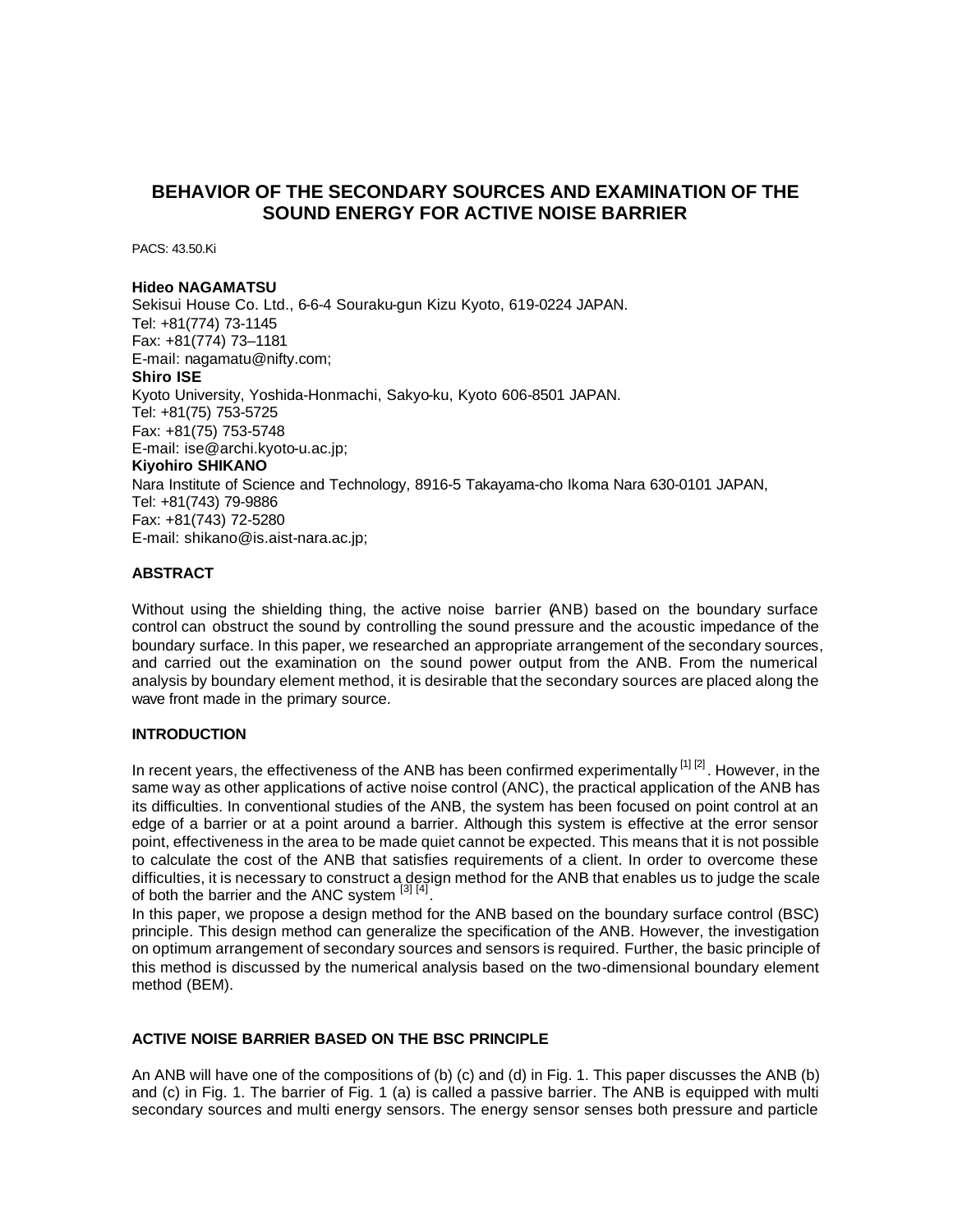# **BEHAVIOR OF THE SECONDARY SOURCES AND EXAMINATION OF THE SOUND ENERGY FOR ACTIVE NOISE BARRIER**

PACS: 43.50.Ki

#### **Hideo NAGAMATSU**

Sekisui House Co. Ltd., 6-6-4 Souraku-gun Kizu Kyoto, 619-0224 JAPAN. Tel: +81(774) 73-1145 Fax: +81(774) 73–1181 E-mail: nagamatu@nifty.com; **Shiro ISE** Kyoto University, Yoshida-Honmachi, Sakyo-ku, Kyoto 606-8501 JAPAN. Tel: +81(75) 753-5725 Fax: +81(75) 753-5748 E-mail: ise@archi.kyoto-u.ac.jp; **Kiyohiro SHIKANO** Nara Institute of Science and Technology, 8916-5 Takayama-cho Ikoma Nara 630-0101 JAPAN, Tel: +81(743) 79-9886 Fax: +81(743) 72-5280 E-mail: shikano@is.aist-nara.ac.jp;

# **ABSTRACT**

Without using the shielding thing, the active noise barrier (ANB) based on the boundary surface control can obstruct the sound by controlling the sound pressure and the acoustic impedance of the boundary surface. In this paper, we researched an appropriate arrangement of the secondary sources, and carried out the examination on the sound power output from the ANB. From the numerical analysis by boundary element method, it is desirable that the secondary sources are placed along the wave front made in the primary source.

### **INTRODUCTION**

In recent years, the effectiveness of the ANB has been confirmed experimentally <sup>[1] [2]</sup>. However, in the same way as other applications of active noise control (ANC), the practical application of the ANB has its difficulties. In conventional studies of the ANB, the system has been focused on point control at an edge of a barrier or at a point around a barrier. Although this system is effective at the error sensor point, effectiveness in the area to be made quiet cannot be expected. This means that it is not possible to calculate the cost of the ANB that satisfies requirements of a client. In order to overcome these difficulties, it is necessary to construct a design method for the ANB that enables us to judge the scale of both the barrier and the ANC system  $^{[3] [4]}$ .

In this paper, we propose a design method for the ANB based on the boundary surface control (BSC) principle. This design method can generalize the specification of the ANB. However, the investigation on optimum arrangement of secondary sources and sensors is required. Further, the basic principle of this method is discussed by the numerical analysis based on the two-dimensional boundary element method (BEM).

### **ACTIVE NOISE BARRIER BASED ON THE BSC PRINCIPLE**

An ANB will have one of the compositions of (b) (c) and (d) in Fig. 1. This paper discusses the ANB (b) and (c) in Fig. 1. The barrier of Fig. 1 (a) is called a passive barrier. The ANB is equipped with multi secondary sources and multi energy sensors. The energy sensor senses both pressure and particle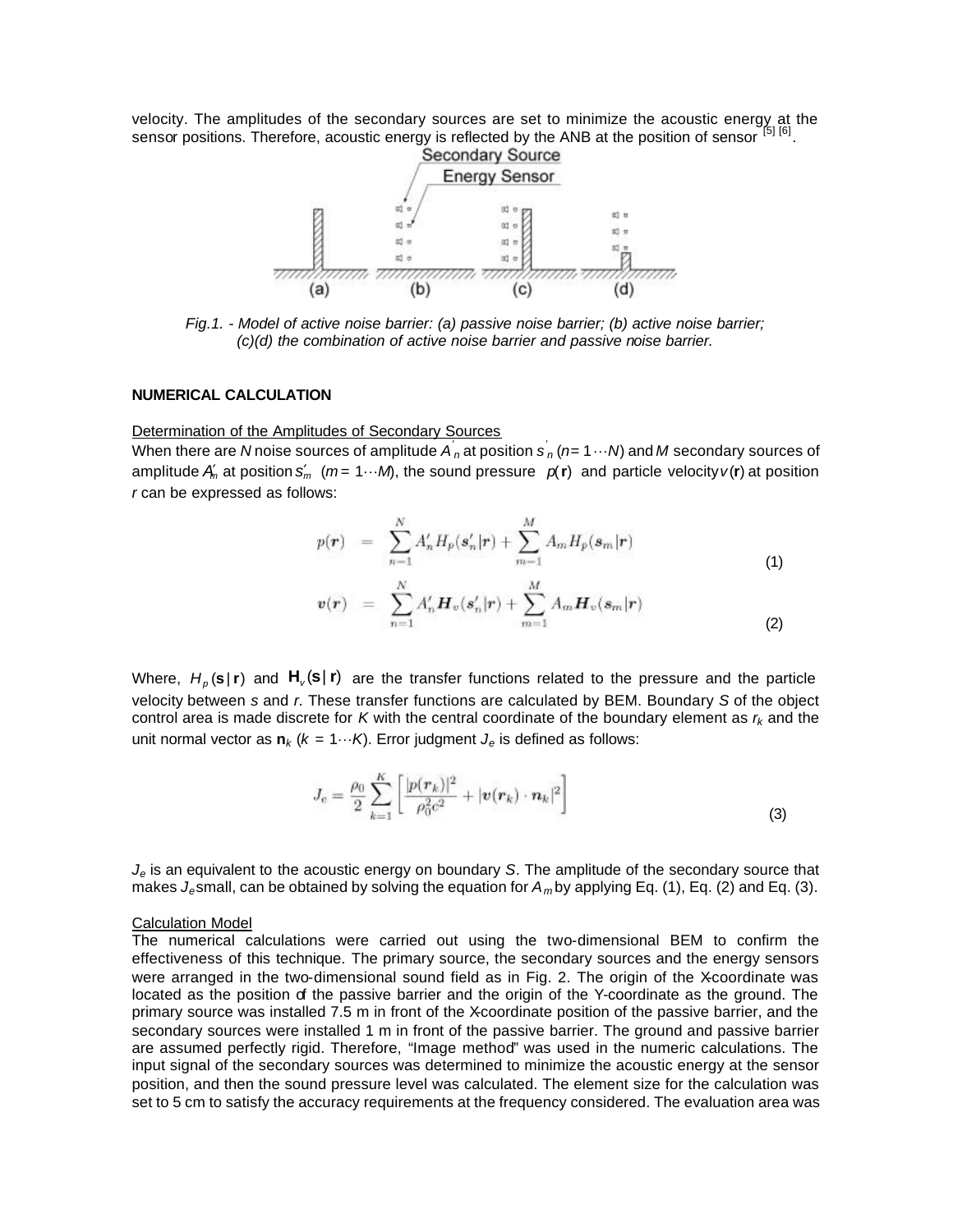velocity. The amplitudes of the secondary sources are set to minimize the acoustic energy at the sensor positions. Therefore, acoustic energy is reflected by the ANB at the position of sensor [5] [6].



*Fig.1. - Model of active noise barrier: (a) passive noise barrier; (b) active noise barrier; (c)(d) the combination of active noise barrier and passive noise barrier.*

### **NUMERICAL CALCULATION**

Determination of the Amplitudes of Secondary Sources

When there are *N* noise sources of amplitude  $A_n$  at position  $s_n$  ( $n = 1 \cdots N$ ) and M secondary sources of amplitude  $A'_n$  at position  $s'_m$  ( $m = 1 \cdots M$ ), the sound pressure  $p(\mathbf{r})$  and particle velocity  $v(\mathbf{r})$  at position *r* can be expressed as follows:

$$
p(\mathbf{r}) = \sum_{n=1}^{N} A'_n H_p(\mathbf{s}'_n | \mathbf{r}) + \sum_{m=1}^{M} A_m H_p(\mathbf{s}_m | \mathbf{r})
$$
  

$$
v(\mathbf{r}) = \sum_{n=1}^{N} A'_n \mathbf{H}_v(\mathbf{s}'_n | \mathbf{r}) + \sum_{m=1}^{M} A_m \mathbf{H}_v(\mathbf{s}_m | \mathbf{r})
$$
 (2)

Where,  $H_p(s|r)$  and  $H_v(s|r)$  are the transfer functions related to the pressure and the particle velocity between *s* and *r*. These transfer functions are calculated by BEM. Boundary *S* of the object control area is made discrete for *K* with the central coordinate of the boundary element as *rk* and the unit normal vector as  $\mathbf{n}_k$  ( $k = 1 \cdots K$ ). Error judgment  $J_e$  is defined as follows:

$$
J_e = \frac{\rho_0}{2} \sum_{k=1}^{K} \left[ \frac{|p(\mathbf{r}_k)|^2}{\rho_0^2 c^2} + |\mathbf{v}(\mathbf{r}_k) \cdot \mathbf{n}_k|^2 \right]
$$
(3)

 $J<sub>e</sub>$  is an equivalent to the acoustic energy on boundary *S*. The amplitude of the secondary source that makes  $J_e$  small, can be obtained by solving the equation for  $A_m$  by applying Eq. (1), Eq. (2) and Eq. (3).

#### Calculation Model

The numerical calculations were carried out using the two-dimensional BEM to confirm the effectiveness of this technique. The primary source, the secondary sources and the energy sensors were arranged in the two-dimensional sound field as in Fig. 2. The origin of the X-coordinate was located as the position of the passive barrier and the origin of the Y-coordinate as the ground. The primary source was installed 7.5 m in front of the X-coordinate position of the passive barrier, and the secondary sources were installed 1 m in front of the passive barrier. The ground and passive barrier are assumed perfectly rigid. Therefore, "Image method" was used in the numeric calculations. The input signal of the secondary sources was determined to minimize the acoustic energy at the sensor position, and then the sound pressure level was calculated. The element size for the calculation was set to 5 cm to satisfy the accuracy requirements at the frequency considered. The evaluation area was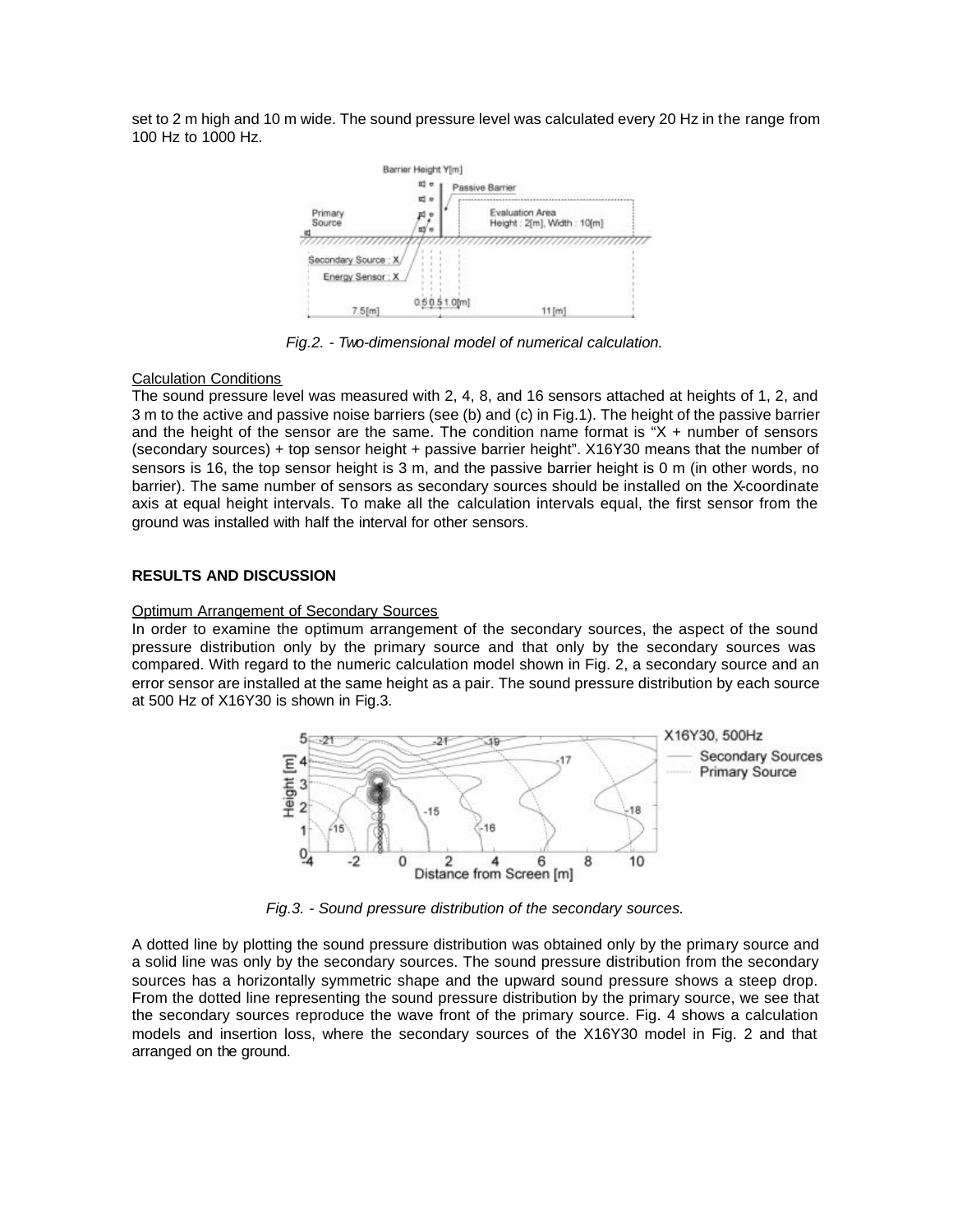set to 2 m high and 10 m wide. The sound pressure level was calculated every 20 Hz in the range from 100 Hz to 1000 Hz.



*Fig.2. - Two-dimensional model of numerical calculation.*

### Calculation Conditions

The sound pressure level was measured with 2, 4, 8, and 16 sensors attached at heights of 1, 2, and 3 m to the active and passive noise barriers (see (b) and (c) in Fig.1). The height of the passive barrier and the height of the sensor are the same. The condition name format is " $X +$  number of sensors (secondary sources) + top sensor height + passive barrier height". X16Y30 means that the number of sensors is 16, the top sensor height is 3 m, and the passive barrier height is 0 m (in other words, no barrier). The same number of sensors as secondary sources should be installed on the X-coordinate axis at equal height intervals. To make all the calculation intervals equal, the first sensor from the ground was installed with half the interval for other sensors.

## **RESULTS AND DISCUSSION**

### Optimum Arrangement of Secondary Sources

In order to examine the optimum arrangement of the secondary sources, the aspect of the sound pressure distribution only by the primary source and that only by the secondary sources was compared. With regard to the numeric calculation model shown in Fig. 2, a secondary source and an error sensor are installed at the same height as a pair. The sound pressure distribution by each source at 500 Hz of X16Y30 is shown in Fig.3.



*Fig.3. - Sound pressure distribution of the secondary sources.*

A dotted line by plotting the sound pressure distribution was obtained only by the primary source and a solid line was only by the secondary sources. The sound pressure distribution from the secondary sources has a horizontally symmetric shape and the upward sound pressure shows a steep drop. From the dotted line representing the sound pressure distribution by the primary source, we see that the secondary sources reproduce the wave front of the primary source. Fig. 4 shows a calculation models and insertion loss, where the secondary sources of the X16Y30 model in Fig. 2 and that arranged on the ground.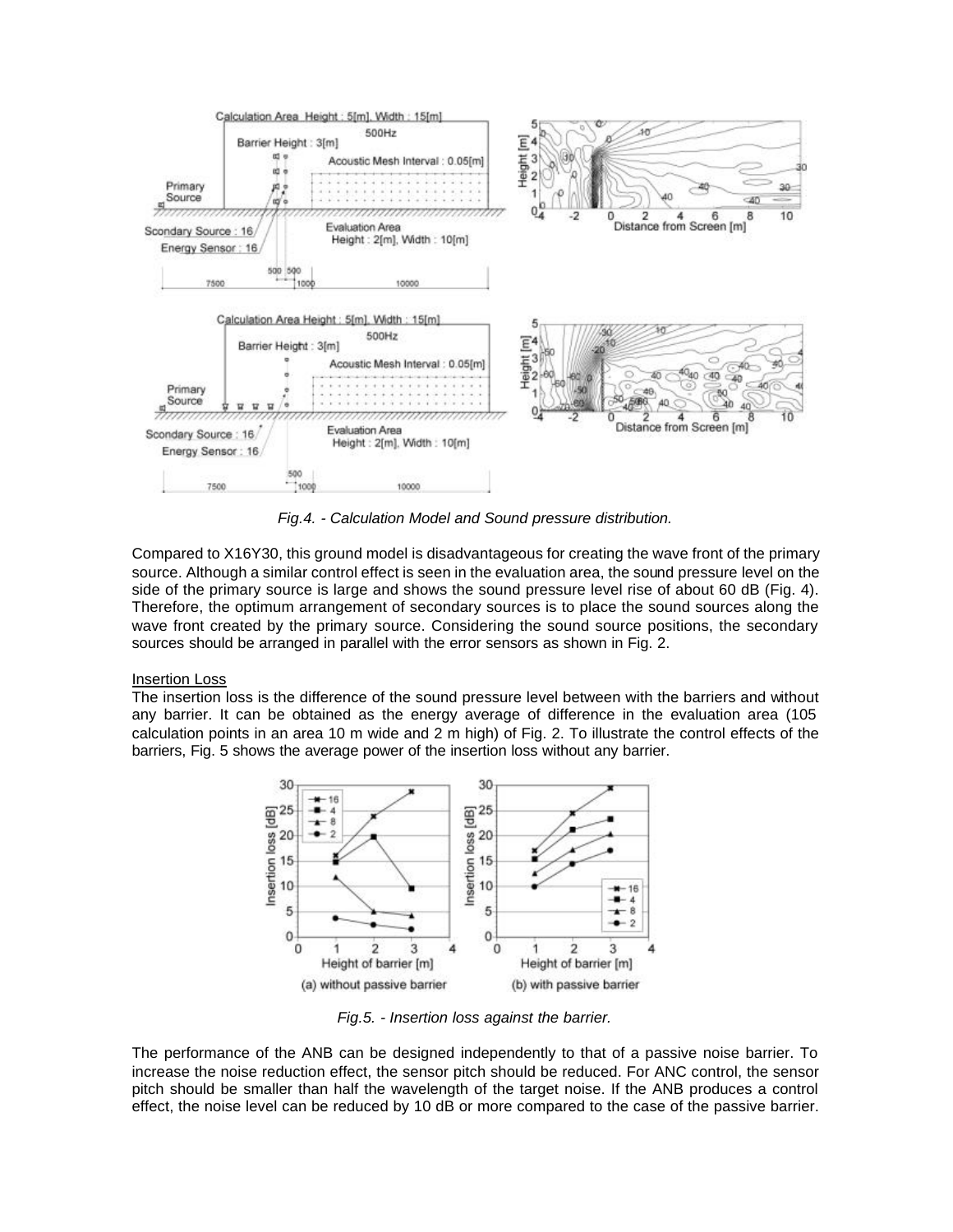

*Fig.4. - Calculation Model and Sound pressure distribution.*

Compared to X16Y30, this ground model is disadvantageous for creating the wave front of the primary source. Although a similar control effect is seen in the evaluation area, the sound pressure level on the side of the primary source is large and shows the sound pressure level rise of about 60 dB (Fig. 4). Therefore, the optimum arrangement of secondary sources is to place the sound sources along the wave front created by the primary source. Considering the sound source positions, the secondary sources should be arranged in parallel with the error sensors as shown in Fig. 2.

### Insertion Loss

The insertion loss is the difference of the sound pressure level between with the barriers and without any barrier. It can be obtained as the energy average of difference in the evaluation area (105 calculation points in an area 10 m wide and 2 m high) of Fig. 2. To illustrate the control effects of the barriers, Fig. 5 shows the average power of the insertion loss without any barrier.



*Fig.5. - Insertion loss against the barrier.*

The performance of the ANB can be designed independently to that of a passive noise barrier. To increase the noise reduction effect, the sensor pitch should be reduced. For ANC control, the sensor pitch should be smaller than half the wavelength of the target noise. If the ANB produces a control effect, the noise level can be reduced by 10 dB or more compared to the case of the passive barrier.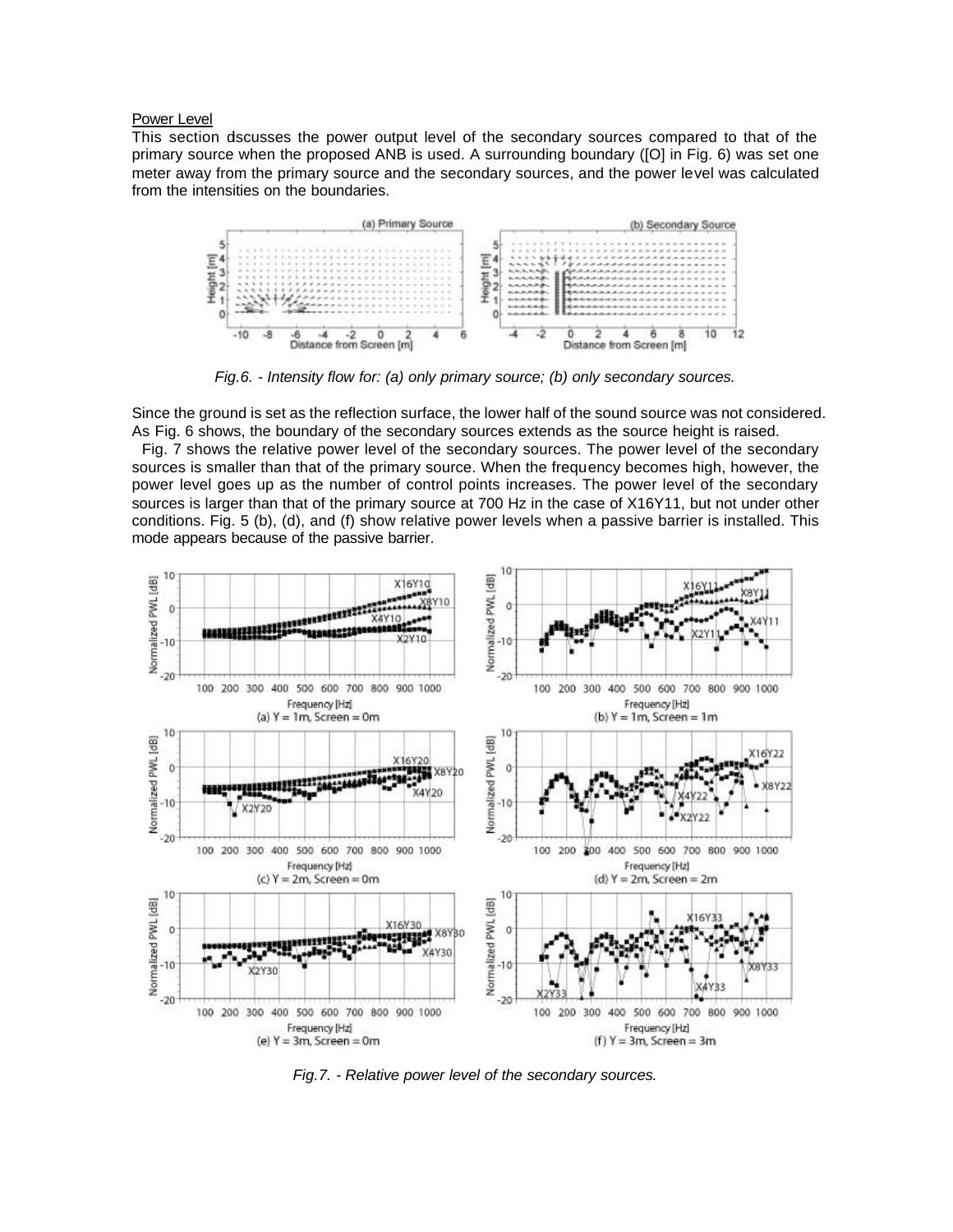### Power Level

This section dscusses the power output level of the secondary sources compared to that of the primary source when the proposed ANB is used. A surrounding boundary ([O] in Fig. 6) was set one meter away from the primary source and the secondary sources, and the power level was calculated from the intensities on the boundaries.



*Fig.6. - Intensity flow for: (a) only primary source; (b) only secondary sources.*

Since the ground is set as the reflection surface, the lower half of the sound source was not considered. As Fig. 6 shows, the boundary of the secondary sources extends as the source height is raised.

 Fig. 7 shows the relative power level of the secondary sources. The power level of the secondary sources is smaller than that of the primary source. When the frequency becomes high, however, the power level goes up as the number of control points increases. The power level of the secondary sources is larger than that of the primary source at 700 Hz in the case of X16Y11, but not under other conditions. Fig. 5 (b), (d), and (f) show relative power levels when a passive barrier is installed. This mode appears because of the passive barrier.



*Fig.7. - Relative power level of the secondary sources.*